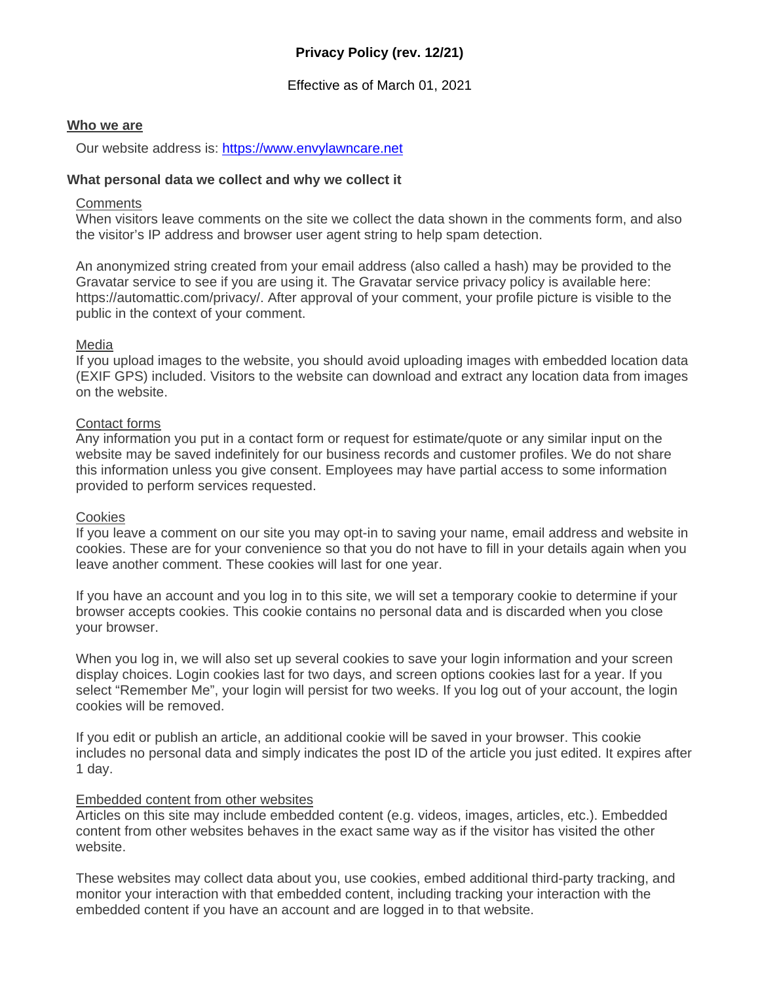# **Privacy Policy (rev. 12/21)**

# Effective as of March 01, 2021

#### **Who we are**

Our website address is: [https://www.envylawncare.net](https://www.envylawncare.net/)

#### **What personal data we collect and why we collect it**

#### **Comments**

When visitors leave comments on the site we collect the data shown in the comments form, and also the visitor's IP address and browser user agent string to help spam detection.

An anonymized string created from your email address (also called a hash) may be provided to the Gravatar service to see if you are using it. The Gravatar service privacy policy is available here: https://automattic.com/privacy/. After approval of your comment, your profile picture is visible to the public in the context of your comment.

#### Media

If you upload images to the website, you should avoid uploading images with embedded location data (EXIF GPS) included. Visitors to the website can download and extract any location data from images on the website.

## Contact forms

Any information you put in a contact form or request for estimate/quote or any similar input on the website may be saved indefinitely for our business records and customer profiles. We do not share this information unless you give consent. Employees may have partial access to some information provided to perform services requested.

#### **Cookies**

If you leave a comment on our site you may opt-in to saving your name, email address and website in cookies. These are for your convenience so that you do not have to fill in your details again when you leave another comment. These cookies will last for one year.

If you have an account and you log in to this site, we will set a temporary cookie to determine if your browser accepts cookies. This cookie contains no personal data and is discarded when you close your browser.

When you log in, we will also set up several cookies to save your login information and your screen display choices. Login cookies last for two days, and screen options cookies last for a year. If you select "Remember Me", your login will persist for two weeks. If you log out of your account, the login cookies will be removed.

If you edit or publish an article, an additional cookie will be saved in your browser. This cookie includes no personal data and simply indicates the post ID of the article you just edited. It expires after 1 day.

## Embedded content from other websites

Articles on this site may include embedded content (e.g. videos, images, articles, etc.). Embedded content from other websites behaves in the exact same way as if the visitor has visited the other website.

These websites may collect data about you, use cookies, embed additional third-party tracking, and monitor your interaction with that embedded content, including tracking your interaction with the embedded content if you have an account and are logged in to that website.